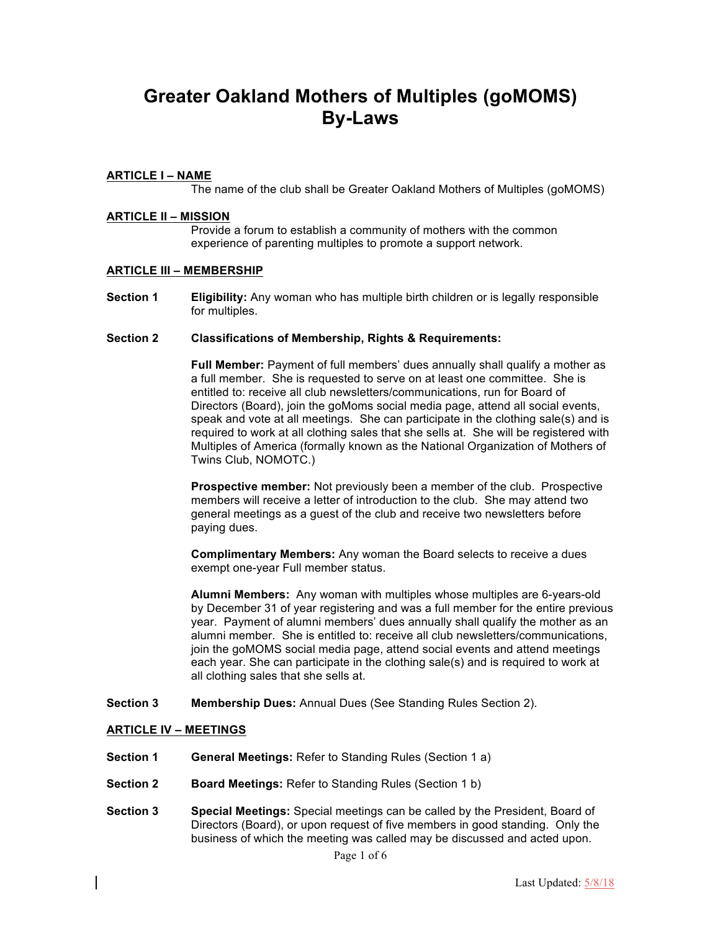# **Greater Oakland Mothers of Multiples (goMOMS) By-Laws**

### **ARTICLE I – NAME**

The name of the club shall be Greater Oakland Mothers of Multiples (goMOMS)

#### **ARTICLE II – MISSION**

Provide a forum to establish a community of mothers with the common experience of parenting multiples to promote a support network.

#### **ARTICLE III – MEMBERSHIP**

**Section 1 Eligibility:** Any woman who has multiple birth children or is legally responsible for multiples.

#### **Section 2 Classifications of Membership, Rights & Requirements:**

**Full Member:** Payment of full members' dues annually shall qualify a mother as a full member. She is requested to serve on at least one committee. She is entitled to: receive all club newsletters/communications, run for Board of Directors (Board), join the goMoms social media page, attend all social events, speak and vote at all meetings. She can participate in the clothing sale(s) and is required to work at all clothing sales that she sells at. She will be registered with Multiples of America (formally known as the National Organization of Mothers of Twins Club, NOMOTC.)

**Prospective member:** Not previously been a member of the club. Prospective members will receive a letter of introduction to the club. She may attend two general meetings as a guest of the club and receive two newsletters before paying dues.

**Complimentary Members:** Any woman the Board selects to receive a dues exempt one-year Full member status.

**Alumni Members:** Any woman with multiples whose multiples are 6-years-old by December 31 of year registering and was a full member for the entire previous year. Payment of alumni members' dues annually shall qualify the mother as an alumni member. She is entitled to: receive all club newsletters/communications, join the goMOMS social media page, attend social events and attend meetings each year. She can participate in the clothing sale(s) and is required to work at all clothing sales that she sells at.

**Section 3 Membership Dues:** Annual Dues (See Standing Rules Section 2).

#### **ARTICLE IV – MEETINGS**

- **Section 1 General Meetings:** Refer to Standing Rules (Section 1 a)
- **Section 2 Board Meetings:** Refer to Standing Rules (Section 1 b)
- **Section 3 Special Meetings:** Special meetings can be called by the President, Board of Directors (Board), or upon request of five members in good standing. Only the business of which the meeting was called may be discussed and acted upon.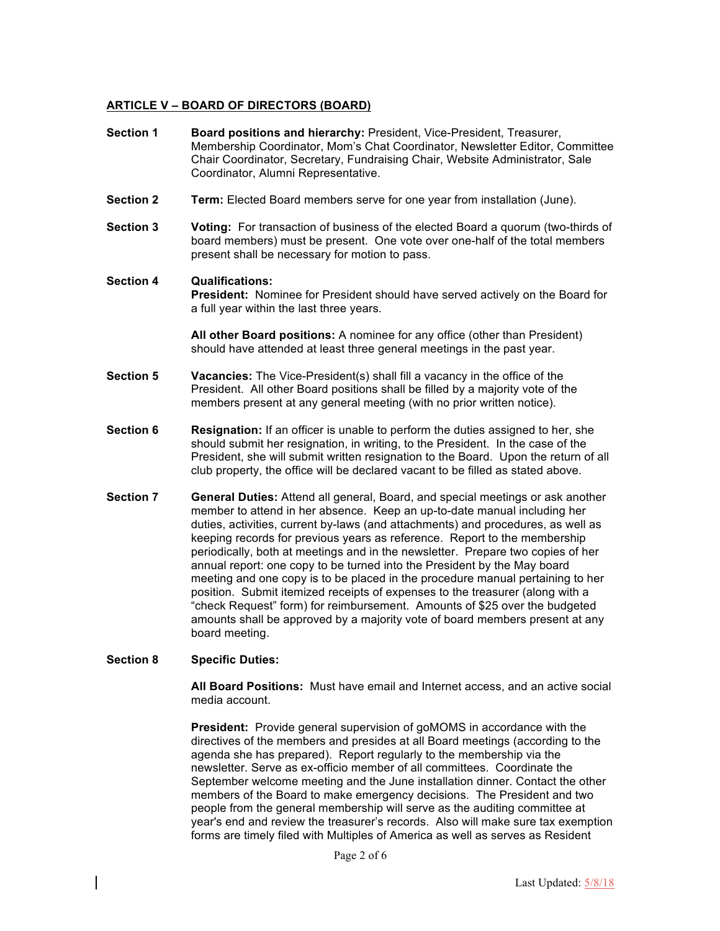## **ARTICLE V – BOARD OF DIRECTORS (BOARD)**

| <b>Section 1</b> | Board positions and hierarchy: President, Vice-President, Treasurer,<br>Membership Coordinator, Mom's Chat Coordinator, Newsletter Editor, Committee<br>Chair Coordinator, Secretary, Fundraising Chair, Website Administrator, Sale<br>Coordinator, Alumni Representative.                                                                                                                                    |  |
|------------------|----------------------------------------------------------------------------------------------------------------------------------------------------------------------------------------------------------------------------------------------------------------------------------------------------------------------------------------------------------------------------------------------------------------|--|
| <b>Section 2</b> | <b>Term:</b> Elected Board members serve for one year from installation (June).                                                                                                                                                                                                                                                                                                                                |  |
| <b>Section 3</b> | Voting: For transaction of business of the elected Board a quorum (two-thirds of<br>board members) must be present. One vote over one-half of the total members<br>present shall be necessary for motion to pass.                                                                                                                                                                                              |  |
| <b>Section 4</b> | <b>Qualifications:</b><br>President: Nominee for President should have served actively on the Board for<br>a full year within the last three years.                                                                                                                                                                                                                                                            |  |
|                  | All other Board positions: A nominee for any office (other than President)<br>should have attended at least three general meetings in the past year.                                                                                                                                                                                                                                                           |  |
| <b>Section 5</b> | Vacancies: The Vice-President(s) shall fill a vacancy in the office of the<br>President. All other Board positions shall be filled by a majority vote of the<br>members present at any general meeting (with no prior written notice).                                                                                                                                                                         |  |
| <b>Section 6</b> | <b>Resignation:</b> If an officer is unable to perform the duties assigned to her, she<br>should submit her resignation, in writing, to the President. In the case of the<br>President, she will submit written resignation to the Board. Upon the return of all<br>club property, the office will be declared vacant to be filled as stated above.                                                            |  |
| <b>Section 7</b> | General Duties: Attend all general, Board, and special meetings or ask another<br>member to attend in her absence. Keep an up-to-date manual including her<br>duties, activities, current by-laws (and attachments) and procedures, as well as<br>keeping records for previous years as reference. Report to the membership<br>periodically, both at meetings and in the newsletter. Prepare two copies of her |  |

annual report: one copy to be turned into the President by the May board meeting and one copy is to be placed in the procedure manual pertaining to her position. Submit itemized receipts of expenses to the treasurer (along with a "check Request" form) for reimbursement. Amounts of \$25 over the budgeted amounts shall be approved by a majority vote of board members present at any board meeting.

#### **Section 8 Specific Duties:**

**All Board Positions:** Must have email and Internet access, and an active social media account.

**President:** Provide general supervision of goMOMS in accordance with the directives of the members and presides at all Board meetings (according to the agenda she has prepared). Report regularly to the membership via the newsletter. Serve as ex-officio member of all committees. Coordinate the September welcome meeting and the June installation dinner. Contact the other members of the Board to make emergency decisions. The President and two people from the general membership will serve as the auditing committee at year's end and review the treasurer's records. Also will make sure tax exemption forms are timely filed with Multiples of America as well as serves as Resident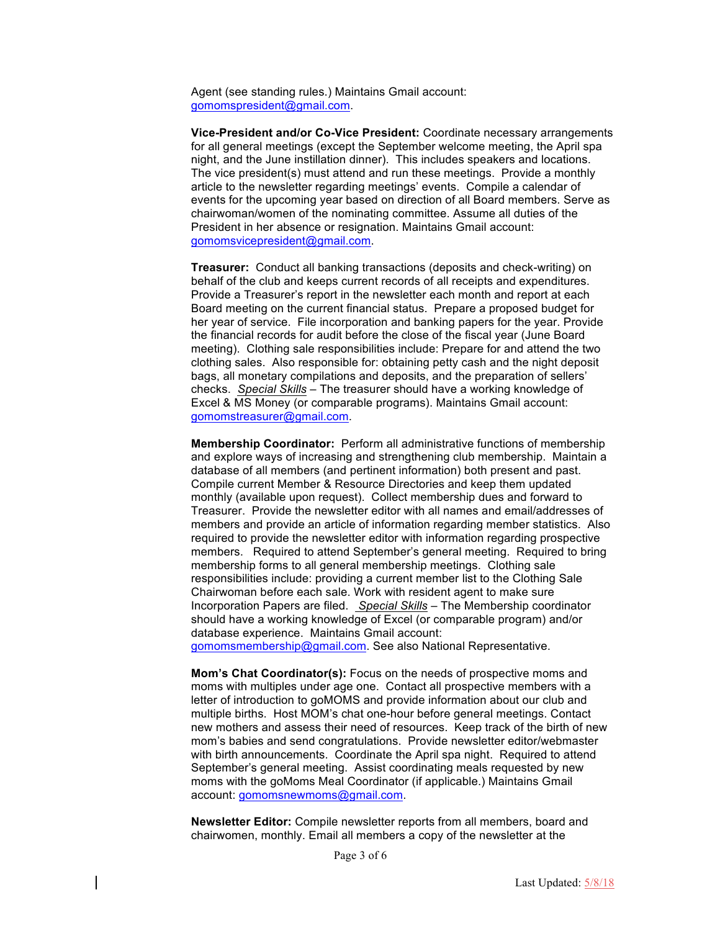Agent (see standing rules.) Maintains Gmail account: gomomspresident@gmail.com.

**Vice-President and/or Co-Vice President:** Coordinate necessary arrangements for all general meetings (except the September welcome meeting, the April spa night, and the June instillation dinner). This includes speakers and locations. The vice president(s) must attend and run these meetings. Provide a monthly article to the newsletter regarding meetings' events. Compile a calendar of events for the upcoming year based on direction of all Board members. Serve as chairwoman/women of the nominating committee. Assume all duties of the President in her absence or resignation. Maintains Gmail account: gomomsvicepresident@gmail.com.

**Treasurer:** Conduct all banking transactions (deposits and check-writing) on behalf of the club and keeps current records of all receipts and expenditures. Provide a Treasurer's report in the newsletter each month and report at each Board meeting on the current financial status. Prepare a proposed budget for her year of service. File incorporation and banking papers for the year. Provide the financial records for audit before the close of the fiscal year (June Board meeting). Clothing sale responsibilities include: Prepare for and attend the two clothing sales. Also responsible for: obtaining petty cash and the night deposit bags, all monetary compilations and deposits, and the preparation of sellers' checks. *Special Skills* – The treasurer should have a working knowledge of Excel & MS Money (or comparable programs). Maintains Gmail account: gomomstreasurer@gmail.com.

**Membership Coordinator:** Perform all administrative functions of membership and explore ways of increasing and strengthening club membership. Maintain a database of all members (and pertinent information) both present and past. Compile current Member & Resource Directories and keep them updated monthly (available upon request). Collect membership dues and forward to Treasurer. Provide the newsletter editor with all names and email/addresses of members and provide an article of information regarding member statistics. Also required to provide the newsletter editor with information regarding prospective members. Required to attend September's general meeting. Required to bring membership forms to all general membership meetings. Clothing sale responsibilities include: providing a current member list to the Clothing Sale Chairwoman before each sale. Work with resident agent to make sure Incorporation Papers are filed. *Special Skills* – The Membership coordinator should have a working knowledge of Excel (or comparable program) and/or database experience. Maintains Gmail account: gomomsmembership@gmail.com. See also National Representative.

**Mom's Chat Coordinator(s):** Focus on the needs of prospective moms and moms with multiples under age one. Contact all prospective members with a letter of introduction to goMOMS and provide information about our club and multiple births. Host MOM's chat one-hour before general meetings. Contact new mothers and assess their need of resources. Keep track of the birth of new mom's babies and send congratulations. Provide newsletter editor/webmaster with birth announcements. Coordinate the April spa night. Required to attend September's general meeting. Assist coordinating meals requested by new moms with the goMoms Meal Coordinator (if applicable.) Maintains Gmail account: gomomsnewmoms@gmail.com.

**Newsletter Editor:** Compile newsletter reports from all members, board and chairwomen, monthly. Email all members a copy of the newsletter at the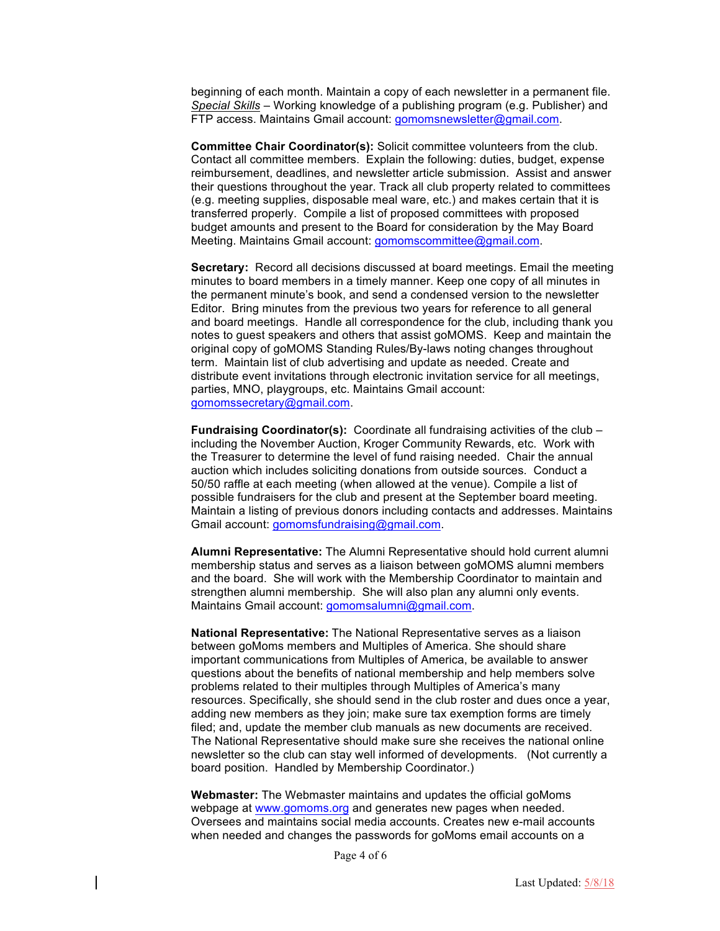beginning of each month. Maintain a copy of each newsletter in a permanent file. *Special Skills* – Working knowledge of a publishing program (e.g. Publisher) and FTP access. Maintains Gmail account: gomomsnewsletter@gmail.com.

**Committee Chair Coordinator(s):** Solicit committee volunteers from the club. Contact all committee members. Explain the following: duties, budget, expense reimbursement, deadlines, and newsletter article submission. Assist and answer their questions throughout the year. Track all club property related to committees (e.g. meeting supplies, disposable meal ware, etc.) and makes certain that it is transferred properly. Compile a list of proposed committees with proposed budget amounts and present to the Board for consideration by the May Board Meeting. Maintains Gmail account: gomomscommittee@gmail.com.

**Secretary:** Record all decisions discussed at board meetings. Email the meeting minutes to board members in a timely manner. Keep one copy of all minutes in the permanent minute's book, and send a condensed version to the newsletter Editor. Bring minutes from the previous two years for reference to all general and board meetings. Handle all correspondence for the club, including thank you notes to guest speakers and others that assist goMOMS. Keep and maintain the original copy of goMOMS Standing Rules/By-laws noting changes throughout term. Maintain list of club advertising and update as needed. Create and distribute event invitations through electronic invitation service for all meetings, parties, MNO, playgroups, etc. Maintains Gmail account: gomomssecretary@gmail.com.

**Fundraising Coordinator(s):** Coordinate all fundraising activities of the club – including the November Auction, Kroger Community Rewards, etc. Work with the Treasurer to determine the level of fund raising needed. Chair the annual auction which includes soliciting donations from outside sources. Conduct a 50/50 raffle at each meeting (when allowed at the venue). Compile a list of possible fundraisers for the club and present at the September board meeting. Maintain a listing of previous donors including contacts and addresses. Maintains Gmail account: gomomsfundraising@gmail.com.

**Alumni Representative:** The Alumni Representative should hold current alumni membership status and serves as a liaison between goMOMS alumni members and the board. She will work with the Membership Coordinator to maintain and strengthen alumni membership. She will also plan any alumni only events. Maintains Gmail account: gomomsalumni@gmail.com.

**National Representative:** The National Representative serves as a liaison between goMoms members and Multiples of America. She should share important communications from Multiples of America, be available to answer questions about the benefits of national membership and help members solve problems related to their multiples through Multiples of America's many resources. Specifically, she should send in the club roster and dues once a year, adding new members as they join; make sure tax exemption forms are timely filed; and, update the member club manuals as new documents are received. The National Representative should make sure she receives the national online newsletter so the club can stay well informed of developments. (Not currently a board position. Handled by Membership Coordinator.)

**Webmaster:** The Webmaster maintains and updates the official goMoms webpage at www.gomoms.org and generates new pages when needed. Oversees and maintains social media accounts. Creates new e-mail accounts when needed and changes the passwords for goMoms email accounts on a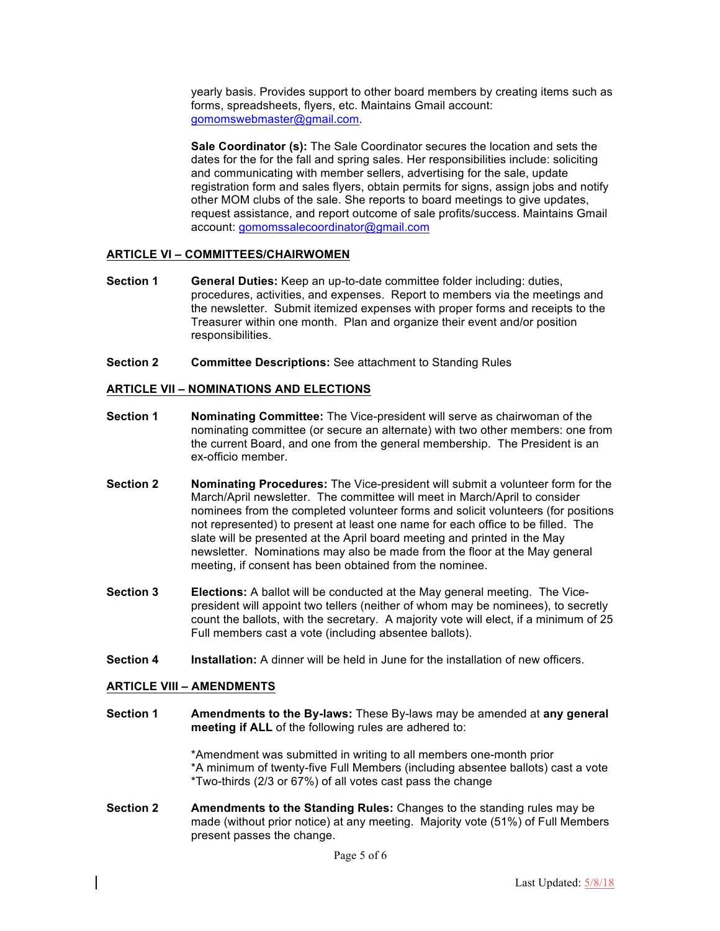yearly basis. Provides support to other board members by creating items such as forms, spreadsheets, flyers, etc. Maintains Gmail account: gomomswebmaster@gmail.com.

**Sale Coordinator (s):** The Sale Coordinator secures the location and sets the dates for the for the fall and spring sales. Her responsibilities include: soliciting and communicating with member sellers, advertising for the sale, update registration form and sales flyers, obtain permits for signs, assign jobs and notify other MOM clubs of the sale. She reports to board meetings to give updates, request assistance, and report outcome of sale profits/success. Maintains Gmail account: gomomssalecoordinator@gmail.com

#### **ARTICLE VI – COMMITTEES/CHAIRWOMEN**

- **Section 1 General Duties:** Keep an up-to-date committee folder including: duties, procedures, activities, and expenses. Report to members via the meetings and the newsletter. Submit itemized expenses with proper forms and receipts to the Treasurer within one month. Plan and organize their event and/or position responsibilities.
- **Section 2 Committee Descriptions:** See attachment to Standing Rules

## **ARTICLE VII – NOMINATIONS AND ELECTIONS**

- **Section 1** Nominating Committee: The Vice-president will serve as chairwoman of the nominating committee (or secure an alternate) with two other members: one from the current Board, and one from the general membership. The President is an ex-officio member.
- **Section 2 Nominating Procedures:** The Vice-president will submit a volunteer form for the March/April newsletter. The committee will meet in March/April to consider nominees from the completed volunteer forms and solicit volunteers (for positions not represented) to present at least one name for each office to be filled. The slate will be presented at the April board meeting and printed in the May newsletter. Nominations may also be made from the floor at the May general meeting, if consent has been obtained from the nominee.
- **Section 3 Elections:** A ballot will be conducted at the May general meeting. The Vicepresident will appoint two tellers (neither of whom may be nominees), to secretly count the ballots, with the secretary. A majority vote will elect, if a minimum of 25 Full members cast a vote (including absentee ballots).
- **Section 4 Installation:** A dinner will be held in June for the installation of new officers.

## **ARTICLE VIII – AMENDMENTS**

**Section 1 Amendments to the By-laws:** These By-laws may be amended at **any general meeting if ALL** of the following rules are adhered to:

> \*Amendment was submitted in writing to all members one-month prior \*A minimum of twenty-five Full Members (including absentee ballots) cast a vote \*Two-thirds (2/3 or 67%) of all votes cast pass the change

**Section 2 Amendments to the Standing Rules:** Changes to the standing rules may be made (without prior notice) at any meeting. Majority vote (51%) of Full Members present passes the change.